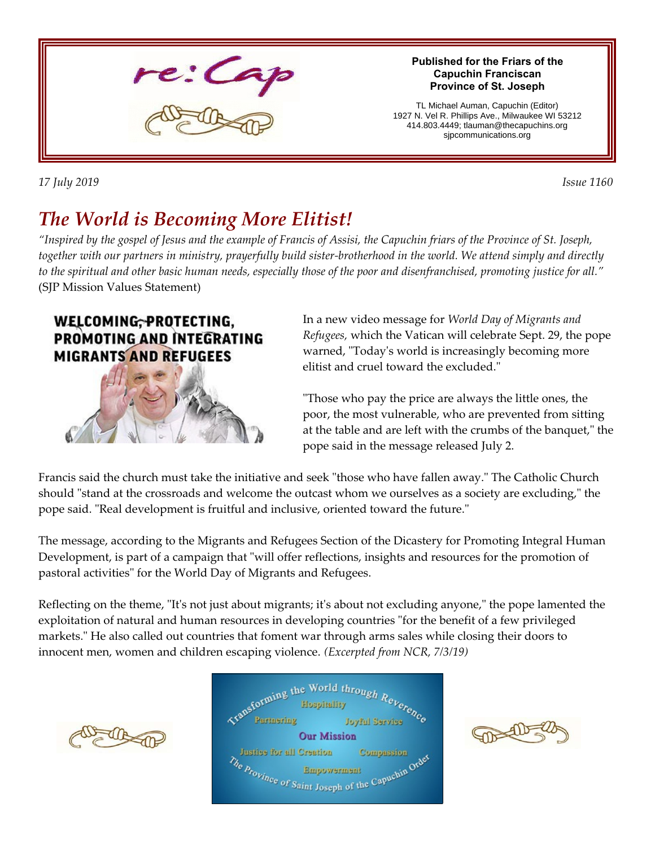

*17 July 2019 Issue 1160* 

# *The World is Becoming More Elitist!*

*"Inspired by the gospel of Jesus and the example of Francis of Assisi, the Capuchin friars of the Province of St. Joseph, together with our partners in ministry, prayerfully build sister-brotherhood in the world. We attend simply and directly to the spiritual and other basic human needs, especially those of the poor and disenfranchised, promoting justice for all."* (SJP Mission Values Statement)

#### WELCOMING, PROTECTING, PROMOTING AND INTEGRATING **MIGRANTS AND REFUGEES**



In a new video message for *World Day of Migrants and Refugees,* which the Vatican will celebrate Sept. 29, the pope warned, "Today's world is increasingly becoming more elitist and cruel toward the excluded."

"Those who pay the price are always the little ones, the poor, the most vulnerable, who are prevented from sitting at the table and are left with the crumbs of the banquet," the pope said in the message released July 2.

Francis said the church must take the initiative and seek "those who have fallen away." The Catholic Church should "stand at the crossroads and welcome the outcast whom we ourselves as a society are excluding," the pope said. "Real development is fruitful and inclusive, oriented toward the future."

The message, according to the Migrants and Refugees Section of the Dicastery for Promoting Integral Human Development, is part of a campaign that "will offer reflections, insights and resources for the promotion of pastoral activities" for the World Day of Migrants and Refugees.

Reflecting on the theme, "It's not just about migrants; it's about not excluding anyone," the pope lamented the exploitation of natural and human resources in developing countries "for the benefit of a few privileged markets." He also called out countries that foment war through arms sales while closing their doors to innocent men, women and children escaping violence. *(Excerpted from NCR, 7/3/19)*





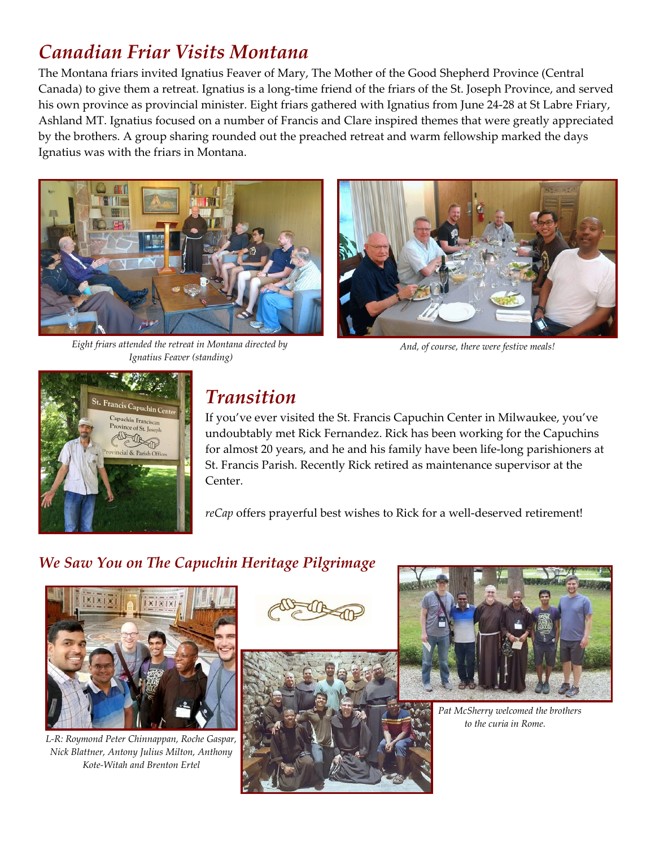## *Canadian Friar Visits Montana*

The Montana friars invited Ignatius Feaver of Mary, The Mother of the Good Shepherd Province (Central Canada) to give them a retreat. Ignatius is a long-time friend of the friars of the St. Joseph Province, and served his own province as provincial minister. Eight friars gathered with Ignatius from June 24-28 at St Labre Friary, Ashland MT. Ignatius focused on a number of Francis and Clare inspired themes that were greatly appreciated by the brothers. A group sharing rounded out the preached retreat and warm fellowship marked the days Ignatius was with the friars in Montana.



*Eight friars attended the retreat in Montana directed by Ignatius Feaver (standing)*



*And, of course, there were festive meals!*



### *Transition*

If you've ever visited the St. Francis Capuchin Center in Milwaukee, you've undoubtably met Rick Fernandez. Rick has been working for the Capuchins for almost 20 years, and he and his family have been life-long parishioners at St. Francis Parish. Recently Rick retired as maintenance supervisor at the Center.

*reCap* offers prayerful best wishes to Rick for a well-deserved retirement!

### *We Saw You on The Capuchin Heritage Pilgrimage*



*L-R: Roymond Peter Chinnappan, Roche Gaspar, Nick Blattner, Antony Julius Milton, Anthony Kote-Witah and Brenton Ertel*







 *Pat McSherry welcomed the brothers to the curia in Rome.*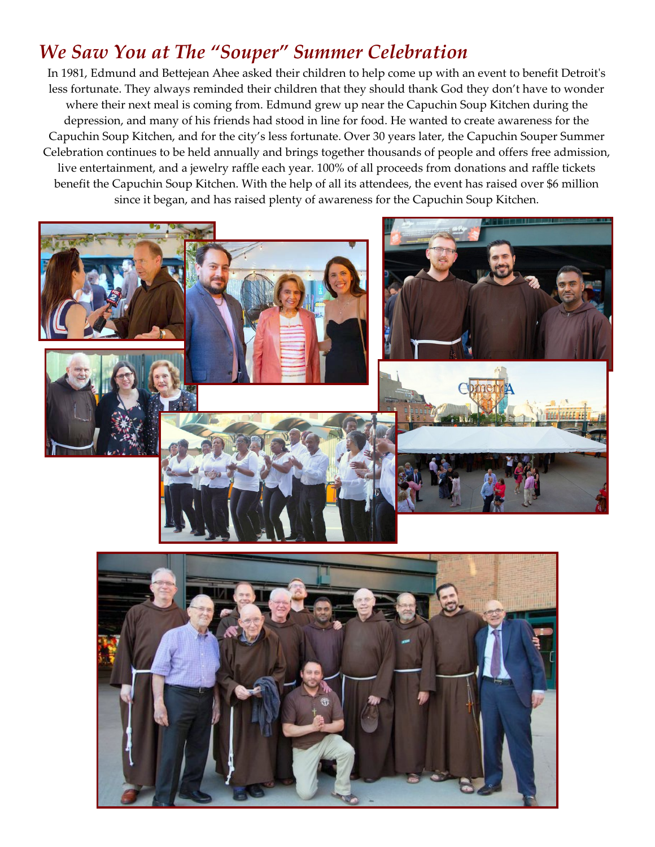### *We Saw You at The "Souper" Summer Celebration*

In 1981, Edmund and Bettejean Ahee asked their children to help come up with an event to benefit Detroit's less fortunate. They always reminded their children that they should thank God they don't have to wonder where their next meal is coming from. Edmund grew up near the Capuchin Soup Kitchen during the depression, and many of his friends had stood in line for food. He wanted to create awareness for the Capuchin Soup Kitchen, and for the city's less fortunate. Over 30 years later, the Capuchin Souper Summer Celebration continues to be held annually and brings together thousands of people and offers free admission, live entertainment, and a jewelry raffle each year. 100% of all proceeds from donations and raffle tickets benefit the Capuchin Soup Kitchen. With the help of all its attendees, the event has raised over \$6 million since it began, and has raised plenty of awareness for the Capuchin Soup Kitchen.